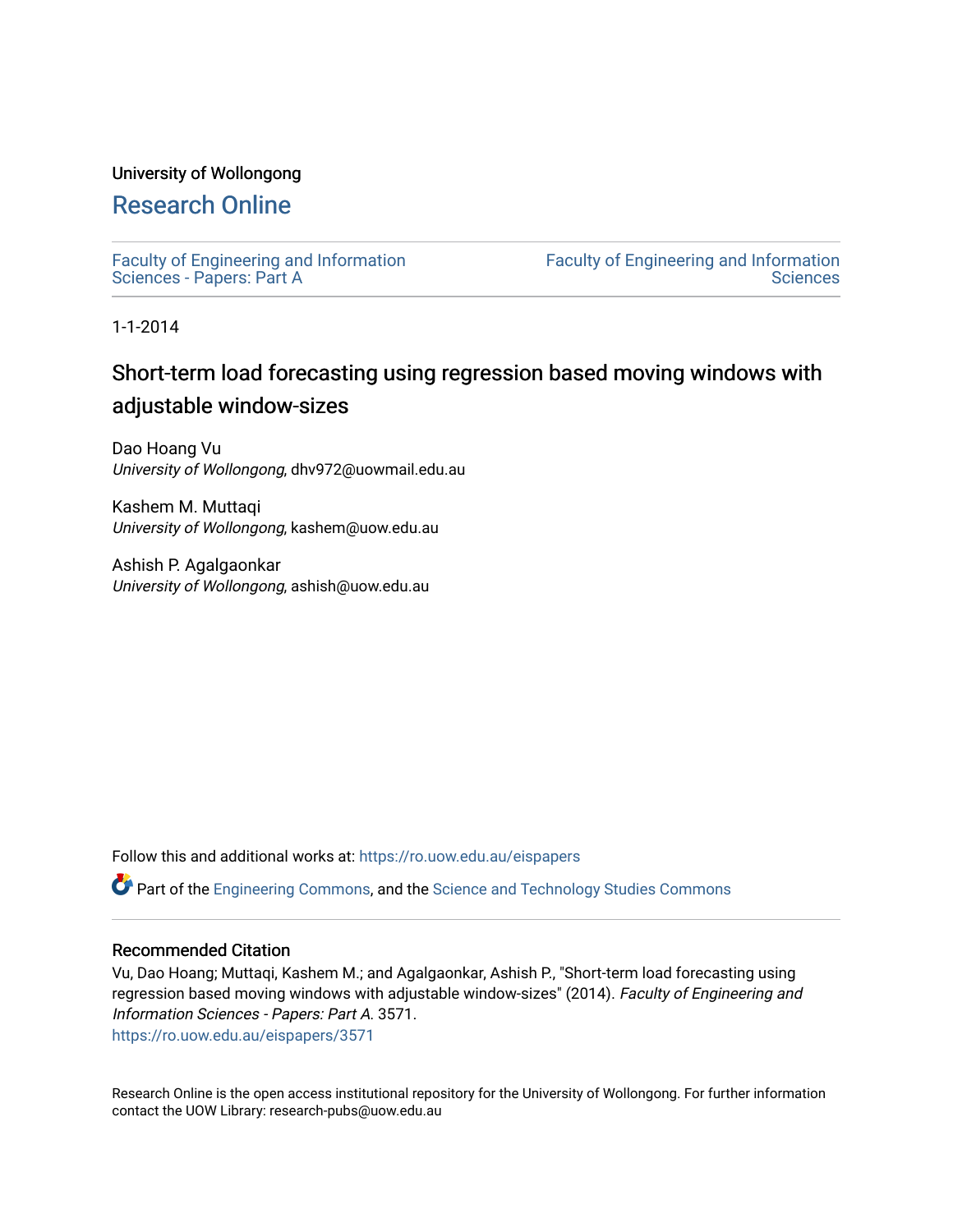# University of Wollongong

# [Research Online](https://ro.uow.edu.au/)

[Faculty of Engineering and Information](https://ro.uow.edu.au/eispapers)  [Sciences - Papers: Part A](https://ro.uow.edu.au/eispapers) 

[Faculty of Engineering and Information](https://ro.uow.edu.au/eis)  **Sciences** 

1-1-2014

# Short-term load forecasting using regression based moving windows with adjustable window-sizes

Dao Hoang Vu University of Wollongong, dhv972@uowmail.edu.au

Kashem M. Muttaqi University of Wollongong, kashem@uow.edu.au

Ashish P. Agalgaonkar University of Wollongong, ashish@uow.edu.au

Follow this and additional works at: [https://ro.uow.edu.au/eispapers](https://ro.uow.edu.au/eispapers?utm_source=ro.uow.edu.au%2Feispapers%2F3571&utm_medium=PDF&utm_campaign=PDFCoverPages)

Part of the [Engineering Commons](http://network.bepress.com/hgg/discipline/217?utm_source=ro.uow.edu.au%2Feispapers%2F3571&utm_medium=PDF&utm_campaign=PDFCoverPages), and the [Science and Technology Studies Commons](http://network.bepress.com/hgg/discipline/435?utm_source=ro.uow.edu.au%2Feispapers%2F3571&utm_medium=PDF&utm_campaign=PDFCoverPages)

# Recommended Citation

Vu, Dao Hoang; Muttaqi, Kashem M.; and Agalgaonkar, Ashish P., "Short-term load forecasting using regression based moving windows with adjustable window-sizes" (2014). Faculty of Engineering and Information Sciences - Papers: Part A. 3571.

[https://ro.uow.edu.au/eispapers/3571](https://ro.uow.edu.au/eispapers/3571?utm_source=ro.uow.edu.au%2Feispapers%2F3571&utm_medium=PDF&utm_campaign=PDFCoverPages) 

Research Online is the open access institutional repository for the University of Wollongong. For further information contact the UOW Library: research-pubs@uow.edu.au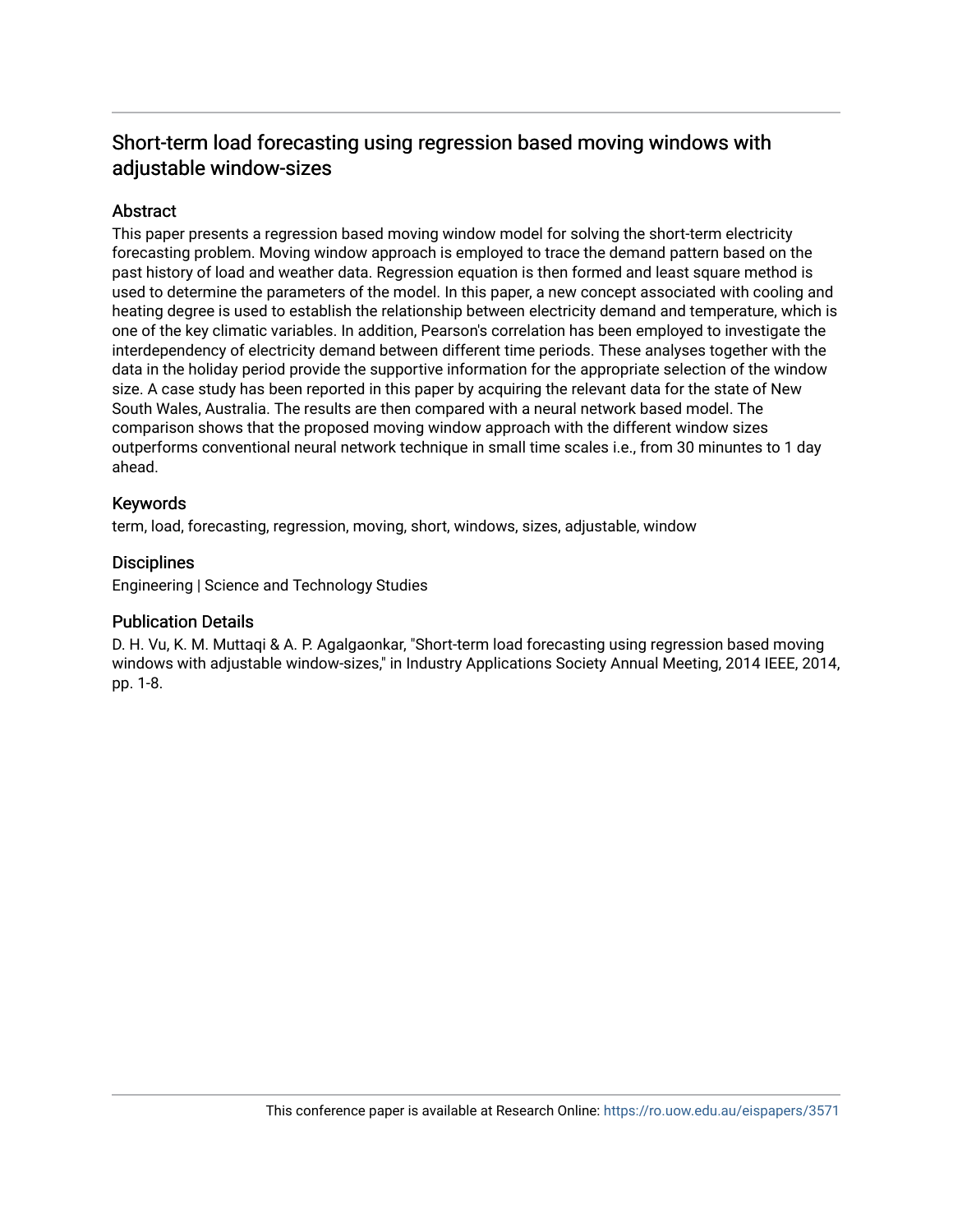# Short-term load forecasting using regression based moving windows with adjustable window-sizes

# Abstract

This paper presents a regression based moving window model for solving the short-term electricity forecasting problem. Moving window approach is employed to trace the demand pattern based on the past history of load and weather data. Regression equation is then formed and least square method is used to determine the parameters of the model. In this paper, a new concept associated with cooling and heating degree is used to establish the relationship between electricity demand and temperature, which is one of the key climatic variables. In addition, Pearson's correlation has been employed to investigate the interdependency of electricity demand between different time periods. These analyses together with the data in the holiday period provide the supportive information for the appropriate selection of the window size. A case study has been reported in this paper by acquiring the relevant data for the state of New South Wales, Australia. The results are then compared with a neural network based model. The comparison shows that the proposed moving window approach with the different window sizes outperforms conventional neural network technique in small time scales i.e., from 30 minuntes to 1 day ahead.

# Keywords

term, load, forecasting, regression, moving, short, windows, sizes, adjustable, window

# **Disciplines**

Engineering | Science and Technology Studies

# Publication Details

D. H. Vu, K. M. Muttaqi & A. P. Agalgaonkar, "Short-term load forecasting using regression based moving windows with adjustable window-sizes," in Industry Applications Society Annual Meeting, 2014 IEEE, 2014, pp. 1-8.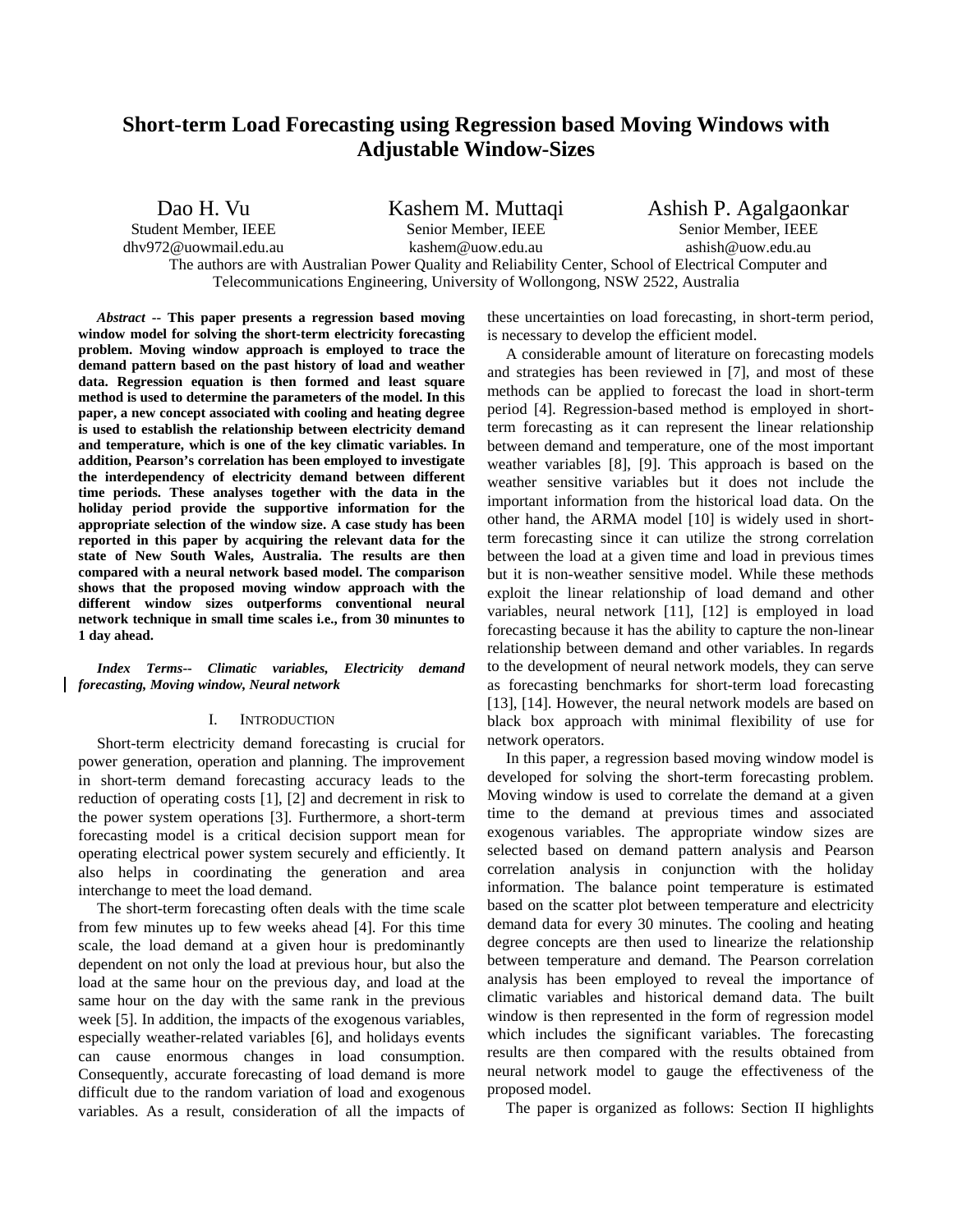# **Short-term Load Forecasting using Regression based Moving Windows with Adjustable Window-Sizes**

Dao H. Vu Student Member, IEEE Kashem M. Muttaqi Senior Member, IEEE

Ashish P. Agalgaonkar Senior Member, IEEE ashish@uow.edu.au

dhv972@uowmail.edu.au kashem@uow.edu.au The authors are with Australian Power Quality and Reliability Center, School of Electrical Computer and Telecommunications Engineering, University of Wollongong, NSW 2522, Australia

*Abstract* **-- This paper presents a regression based moving window model for solving the short-term electricity forecasting problem. Moving window approach is employed to trace the demand pattern based on the past history of load and weather data. Regression equation is then formed and least square method is used to determine the parameters of the model. In this paper, a new concept associated with cooling and heating degree is used to establish the relationship between electricity demand and temperature, which is one of the key climatic variables. In addition, Pearson's correlation has been employed to investigate the interdependency of electricity demand between different time periods. These analyses together with the data in the holiday period provide the supportive information for the appropriate selection of the window size. A case study has been reported in this paper by acquiring the relevant data for the state of New South Wales, Australia. The results are then compared with a neural network based model. The comparison shows that the proposed moving window approach with the different window sizes outperforms conventional neural network technique in small time scales i.e., from 30 minuntes to 1 day ahead.** 

*Index Terms***--** *Climatic variables, Electricity demand forecasting, Moving window, Neural network*

# I. INTRODUCTION

Short-term electricity demand forecasting is crucial for power generation, operation and planning. The improvement in short-term demand forecasting accuracy leads to the reduction of operating costs [1], [2] and decrement in risk to the power system operations [3]. Furthermore, a short-term forecasting model is a critical decision support mean for operating electrical power system securely and efficiently. It also helps in coordinating the generation and area interchange to meet the load demand.

The short-term forecasting often deals with the time scale from few minutes up to few weeks ahead [4]. For this time scale, the load demand at a given hour is predominantly dependent on not only the load at previous hour, but also the load at the same hour on the previous day, and load at the same hour on the day with the same rank in the previous week [5]. In addition, the impacts of the exogenous variables, especially weather-related variables [6], and holidays events can cause enormous changes in load consumption. Consequently, accurate forecasting of load demand is more difficult due to the random variation of load and exogenous variables. As a result, consideration of all the impacts of these uncertainties on load forecasting, in short-term period, is necessary to develop the efficient model.

A considerable amount of literature on forecasting models and strategies has been reviewed in [7], and most of these methods can be applied to forecast the load in short-term period [4]. Regression-based method is employed in shortterm forecasting as it can represent the linear relationship between demand and temperature, one of the most important weather variables [8], [9]. This approach is based on the weather sensitive variables but it does not include the important information from the historical load data. On the other hand, the ARMA model [10] is widely used in shortterm forecasting since it can utilize the strong correlation between the load at a given time and load in previous times but it is non-weather sensitive model. While these methods exploit the linear relationship of load demand and other variables, neural network [11], [12] is employed in load forecasting because it has the ability to capture the non-linear relationship between demand and other variables. In regards to the development of neural network models, they can serve as forecasting benchmarks for short-term load forecasting [13], [14]. However, the neural network models are based on black box approach with minimal flexibility of use for network operators.

In this paper, a regression based moving window model is developed for solving the short-term forecasting problem. Moving window is used to correlate the demand at a given time to the demand at previous times and associated exogenous variables. The appropriate window sizes are selected based on demand pattern analysis and Pearson correlation analysis in conjunction with the holiday information. The balance point temperature is estimated based on the scatter plot between temperature and electricity demand data for every 30 minutes. The cooling and heating degree concepts are then used to linearize the relationship between temperature and demand. The Pearson correlation analysis has been employed to reveal the importance of climatic variables and historical demand data. The built window is then represented in the form of regression model which includes the significant variables. The forecasting results are then compared with the results obtained from neural network model to gauge the effectiveness of the proposed model.

The paper is organized as follows: Section II highlights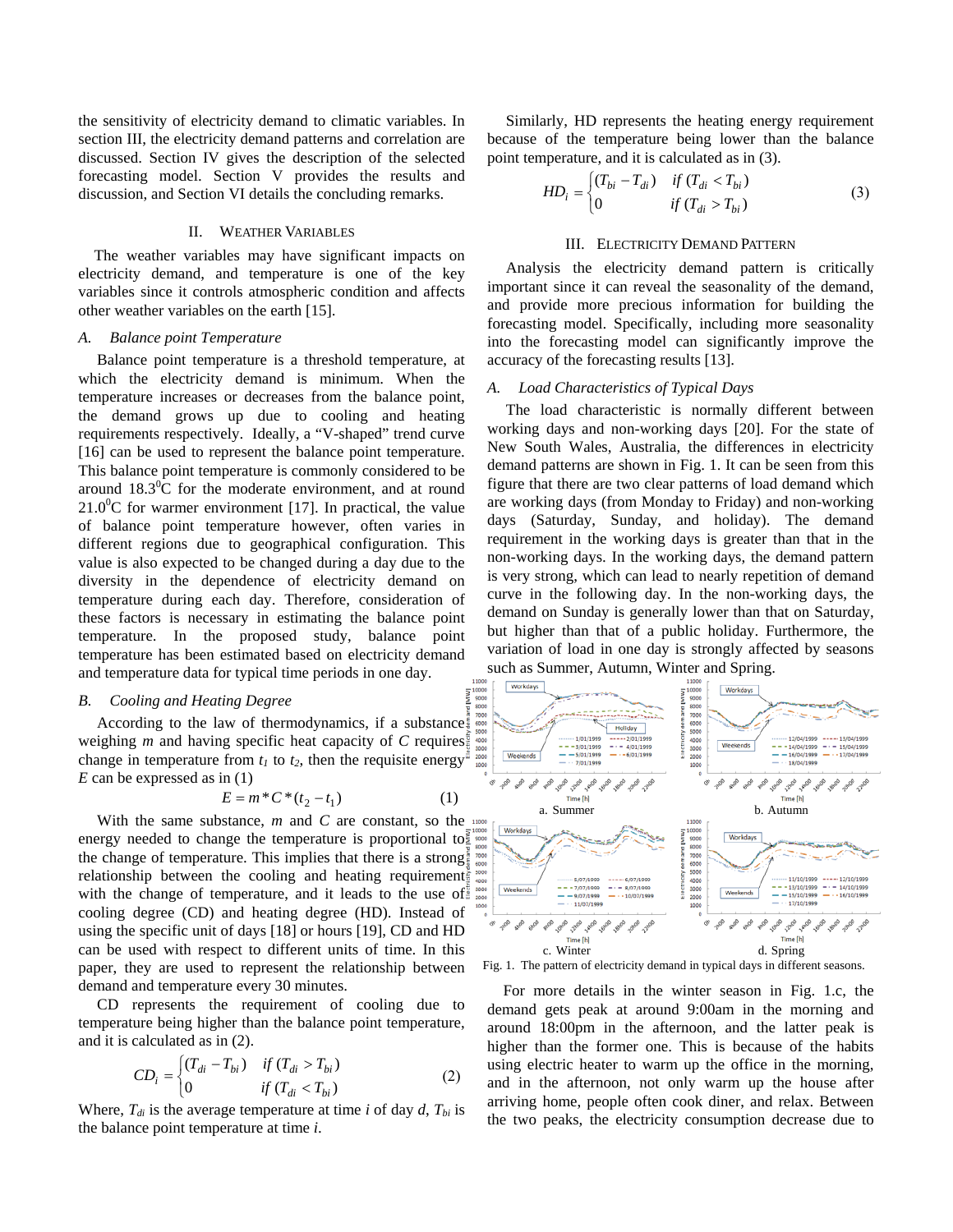the sensitivity of electricity demand to climatic variables. In section III, the electricity demand patterns and correlation are discussed. Section IV gives the description of the selected forecasting model. Section V provides the results and discussion, and Section VI details the concluding remarks.

## II. WEATHER VARIABLES

The weather variables may have significant impacts on electricity demand, and temperature is one of the key variables since it controls atmospheric condition and affects other weather variables on the earth [15].

## *A. Balance point Temperature*

Balance point temperature is a threshold temperature, at which the electricity demand is minimum. When the temperature increases or decreases from the balance point, the demand grows up due to cooling and heating requirements respectively. Ideally, a "V-shaped" trend curve [16] can be used to represent the balance point temperature. This balance point temperature is commonly considered to be around  $18.3^{\circ}$ C for the moderate environment, and at round  $21.0\text{°C}$  for warmer environment [17]. In practical, the value of balance point temperature however, often varies in different regions due to geographical configuration. This value is also expected to be changed during a day due to the diversity in the dependence of electricity demand on temperature during each day. Therefore, consideration of these factors is necessary in estimating the balance point temperature. In the proposed study, balance point temperature has been estimated based on electricity demand and temperature data for typical time periods in one day.

### *B. Cooling and Heating Degree*

According to the law of thermodynamics, if a substance weighing *m* and having specific heat capacity of *C* requires change in temperature from  $t_1$  to  $t_2$ , then the requisite energy<sup>®</sup> *E* can be expressed as in (1)

$$
E = m \,^* C \,^*(t_2 - t_1) \tag{1}
$$

With the same substance, *m* and *C* are constant, so the 11000 energy needed to change the temperature is proportional to the change of temperature. This implies that there is a strong relationship between the cooling and heating requirement with the change of temperature, and it leads to the use of cooling degree (CD) and heating degree (HD). Instead of using the specific unit of days [18] or hours [19], CD and HD can be used with respect to different units of time. In this paper, they are used to represent the relationship between demand and temperature every 30 minutes.

CD represents the requirement of cooling due to temperature being higher than the balance point temperature, and it is calculated as in (2).

$$
CD_{i} = \begin{cases} (T_{di} - T_{bi}) & \text{if } (T_{di} > T_{bi}) \\ 0 & \text{if } (T_{di} < T_{bi}) \end{cases}
$$
 (2)

Where,  $T_{di}$  is the average temperature at time *i* of day *d*,  $T_{bi}$  is the balance point temperature at time *i*.

Similarly, HD represents the heating energy requirement because of the temperature being lower than the balance point temperature, and it is calculated as in (3).

$$
HD_{i} = \begin{cases} (T_{bi} - T_{di}) & \text{if } (T_{di} < T_{bi}) \\ 0 & \text{if } (T_{di} > T_{bi}) \end{cases} \tag{3}
$$

#### III. ELECTRICITY DEMAND PATTERN

Analysis the electricity demand pattern is critically important since it can reveal the seasonality of the demand, and provide more precious information for building the forecasting model. Specifically, including more seasonality into the forecasting model can significantly improve the accuracy of the forecasting results [13].

## *A. Load Characteristics of Typical Days*

The load characteristic is normally different between working days and non-working days [20]. For the state of New South Wales, Australia, the differences in electricity demand patterns are shown in Fig. 1. It can be seen from this figure that there are two clear patterns of load demand which are working days (from Monday to Friday) and non-working days (Saturday, Sunday, and holiday). The demand requirement in the working days is greater than that in the non-working days. In the working days, the demand pattern is very strong, which can lead to nearly repetition of demand curve in the following day. In the non-working days, the demand on Sunday is generally lower than that on Saturday, but higher than that of a public holiday. Furthermore, the variation of load in one day is strongly affected by seasons such as Summer, Autumn, Winter and Spring.



Fig. 1. The pattern of electricity demand in typical days in different seasons.

For more details in the winter season in Fig. 1.c, the demand gets peak at around 9:00am in the morning and around 18:00pm in the afternoon, and the latter peak is higher than the former one. This is because of the habits using electric heater to warm up the office in the morning, and in the afternoon, not only warm up the house after arriving home, people often cook diner, and relax. Between the two peaks, the electricity consumption decrease due to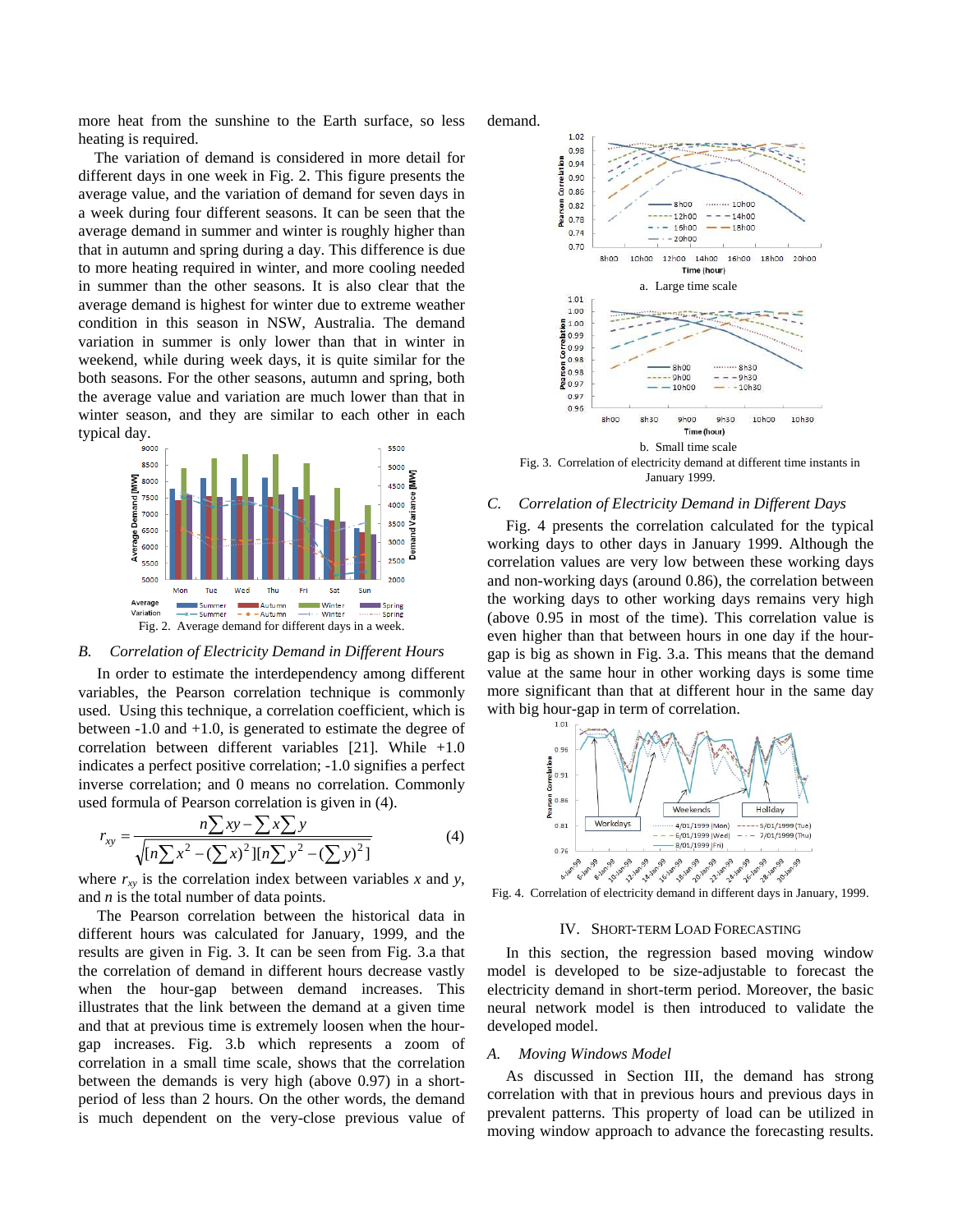more heat from the sunshine to the Earth surface, so less heating is required.

The variation of demand is considered in more detail for different days in one week in Fig. 2. This figure presents the average value, and the variation of demand for seven days in a week during four different seasons. It can be seen that the average demand in summer and winter is roughly higher than that in autumn and spring during a day. This difference is due to more heating required in winter, and more cooling needed in summer than the other seasons. It is also clear that the average demand is highest for winter due to extreme weather condition in this season in NSW, Australia. The demand variation in summer is only lower than that in winter in weekend, while during week days, it is quite similar for the both seasons. For the other seasons, autumn and spring, both the average value and variation are much lower than that in winter season, and they are similar to each other in each typical day.



#### *B. Correlation of Electricity Demand in Different Hours*

In order to estimate the interdependency among different variables, the Pearson correlation technique is commonly used. Using this technique, a correlation coefficient, which is between -1.0 and +1.0, is generated to estimate the degree of correlation between different variables [21]. While +1.0 indicates a perfect positive correlation; -1.0 signifies a perfect inverse correlation; and 0 means no correlation. Commonly used formula of Pearson correlation is given in (4).

$$
r_{xy} = \frac{n\sum xy - \sum x \sum y}{\sqrt{[n\sum x^2 - (\sum x)^2][n\sum y^2 - (\sum y)^2]}}
$$
(4)

where  $r_{xy}$  is the correlation index between variables *x* and *y*, and *n* is the total number of data points.

The Pearson correlation between the historical data in different hours was calculated for January, 1999, and the results are given in Fig. 3. It can be seen from Fig. 3.a that the correlation of demand in different hours decrease vastly when the hour-gap between demand increases. This illustrates that the link between the demand at a given time and that at previous time is extremely loosen when the hourgap increases. Fig. 3.b which represents a zoom of correlation in a small time scale, shows that the correlation between the demands is very high (above 0.97) in a shortperiod of less than 2 hours. On the other words, the demand is much dependent on the very-close previous value of

demand.



Fig. 3. Correlation of electricity demand at different time instants in January 1999.

#### *C. Correlation of Electricity Demand in Different Days*

Fig. 4 presents the correlation calculated for the typical working days to other days in January 1999. Although the correlation values are very low between these working days and non-working days (around 0.86), the correlation between the working days to other working days remains very high (above 0.95 in most of the time). This correlation value is even higher than that between hours in one day if the hourgap is big as shown in Fig. 3.a. This means that the demand value at the same hour in other working days is some time more significant than that at different hour in the same day with big hour-gap in term of correlation.



#### IV. SHORT-TERM LOAD FORECASTING

In this section, the regression based moving window model is developed to be size-adjustable to forecast the electricity demand in short-term period. Moreover, the basic neural network model is then introduced to validate the developed model.

#### *A. Moving Windows Model*

As discussed in Section III, the demand has strong correlation with that in previous hours and previous days in prevalent patterns. This property of load can be utilized in moving window approach to advance the forecasting results.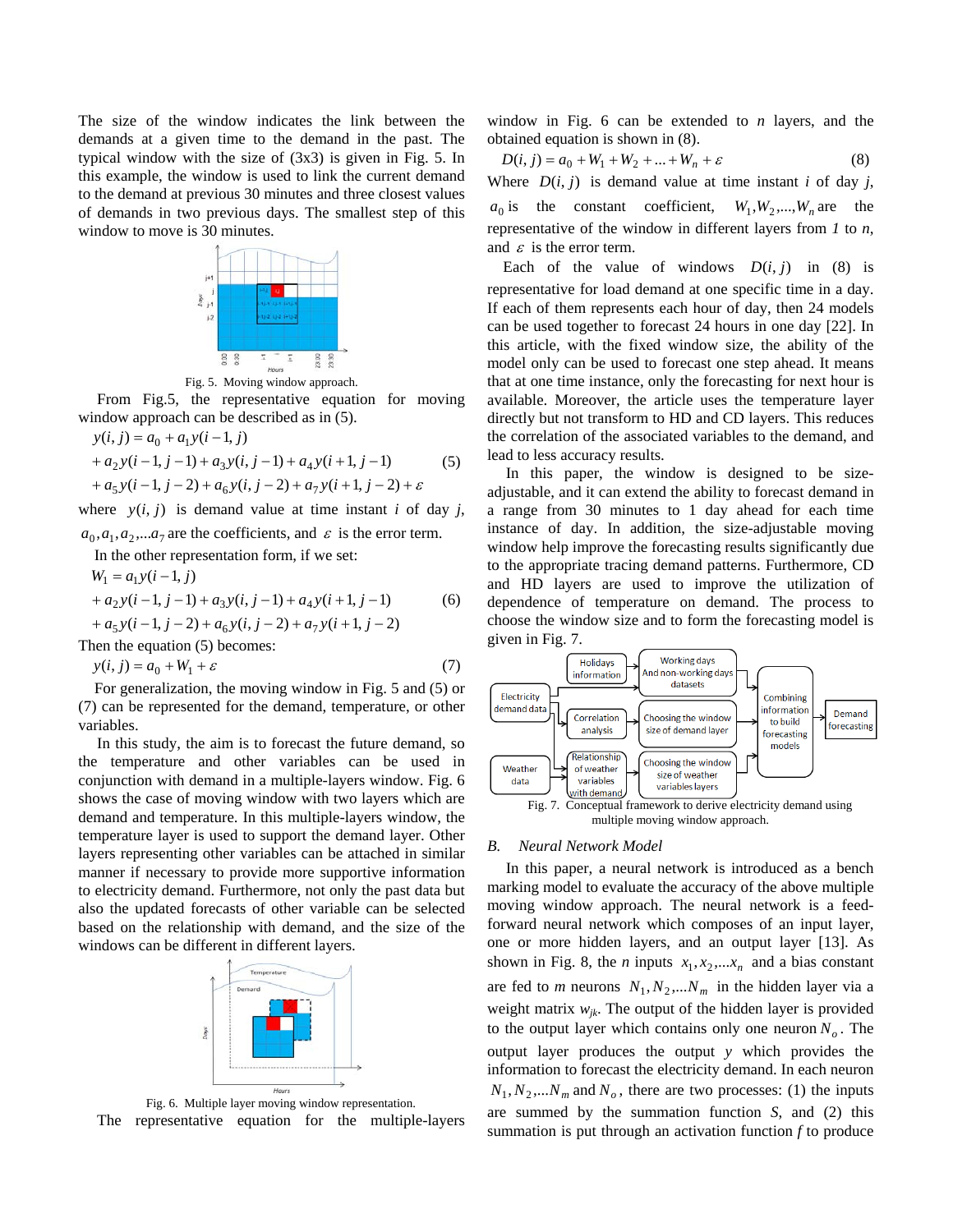The size of the window indicates the link between the demands at a given time to the demand in the past. The typical window with the size of (3x3) is given in Fig. 5. In this example, the window is used to link the current demand to the demand at previous 30 minutes and three closest values of demands in two previous days. The smallest step of this window to move is 30 minutes.



Fig. 5. Moving window approach.

From Fig.5, the representative equation for moving window approach can be described as in (5).

$$
y(i, j) = a_0 + a_1 y(i - 1, j)
$$
  
+  $a_2 y(i - 1, j - 1) + a_3 y(i, j - 1) + a_4 y(i + 1, j - 1)$  (5)  
+  $a_5 y(i - 1, j - 2) + a_6 y(i, j - 2) + a_7 y(i + 1, j - 2) + \varepsilon$ 

where  $y(i, j)$  is demand value at time instant *i* of day *j*,  $a_0, a_1, a_2, \ldots a_7$  are the coefficients, and  $\varepsilon$  is the error term.

In the other representation form, if we set:

$$
W_1 = a_1 y(i-1, j)
$$
  
+  $a_2 y(i-1, j-1) + a_3 y(i, j-1) + a_4 y(i+1, j-1)$  (6)

 $(a_5y(i-1, j-2) + a_6y(i, j-2) + a_7y(i+1, j-2)$ 

Then the equation (5) becomes:

 $y(i, j) = a_0 + W_1 + \varepsilon$  (7)

For generalization, the moving window in Fig. 5 and (5) or (7) can be represented for the demand, temperature, or other variables.

In this study, the aim is to forecast the future demand, so the temperature and other variables can be used in conjunction with demand in a multiple-layers window. Fig. 6 shows the case of moving window with two layers which are demand and temperature. In this multiple-layers window, the temperature layer is used to support the demand layer. Other layers representing other variables can be attached in similar manner if necessary to provide more supportive information to electricity demand. Furthermore, not only the past data but also the updated forecasts of other variable can be selected based on the relationship with demand, and the size of the windows can be different in different layers.



Fig. 6. Multiple layer moving window representation. The representative equation for the multiple-layers

window in Fig. 6 can be extended to *n* layers, and the obtained equation is shown in (8).

$$
D(i, j) = a_0 + W_1 + W_2 + \dots + W_n + \varepsilon
$$
 (8)

Where  $D(i, j)$  is demand value at time instant *i* of day *j*,  $a_0$  is the constant coefficient,  $W_1, W_2, ..., W_n$  are the representative of the window in different layers from *1* to *n*, and  $\varepsilon$  is the error term.

Each of the value of windows  $D(i, j)$  in (8) is representative for load demand at one specific time in a day. If each of them represents each hour of day, then 24 models can be used together to forecast 24 hours in one day [22]. In this article, with the fixed window size, the ability of the model only can be used to forecast one step ahead. It means that at one time instance, only the forecasting for next hour is available. Moreover, the article uses the temperature layer directly but not transform to HD and CD layers. This reduces the correlation of the associated variables to the demand, and lead to less accuracy results.

In this paper, the window is designed to be sizeadjustable, and it can extend the ability to forecast demand in a range from 30 minutes to 1 day ahead for each time instance of day. In addition, the size-adjustable moving window help improve the forecasting results significantly due to the appropriate tracing demand patterns. Furthermore, CD and HD layers are used to improve the utilization of dependence of temperature on demand. The process to choose the window size and to form the forecasting model is given in Fig. 7.



## *B. Neural Network Model*

In this paper, a neural network is introduced as a bench marking model to evaluate the accuracy of the above multiple moving window approach. The neural network is a feedforward neural network which composes of an input layer, one or more hidden layers, and an output layer [13]. As shown in Fig. 8, the *n* inputs  $x_1, x_2, \ldots, x_n$  and a bias constant are fed to *m* neurons  $N_1$ ,  $N_2$ ,  $N_m$  in the hidden layer via a weight matrix  $w_{jk}$ . The output of the hidden layer is provided to the output layer which contains only one neuron  $N<sub>o</sub>$ . The output layer produces the output *y* which provides the information to forecast the electricity demand. In each neuron  $N_1, N_2,...N_m$  and  $N_o$ , there are two processes: (1) the inputs are summed by the summation function *S*, and (2) this summation is put through an activation function *f* to produce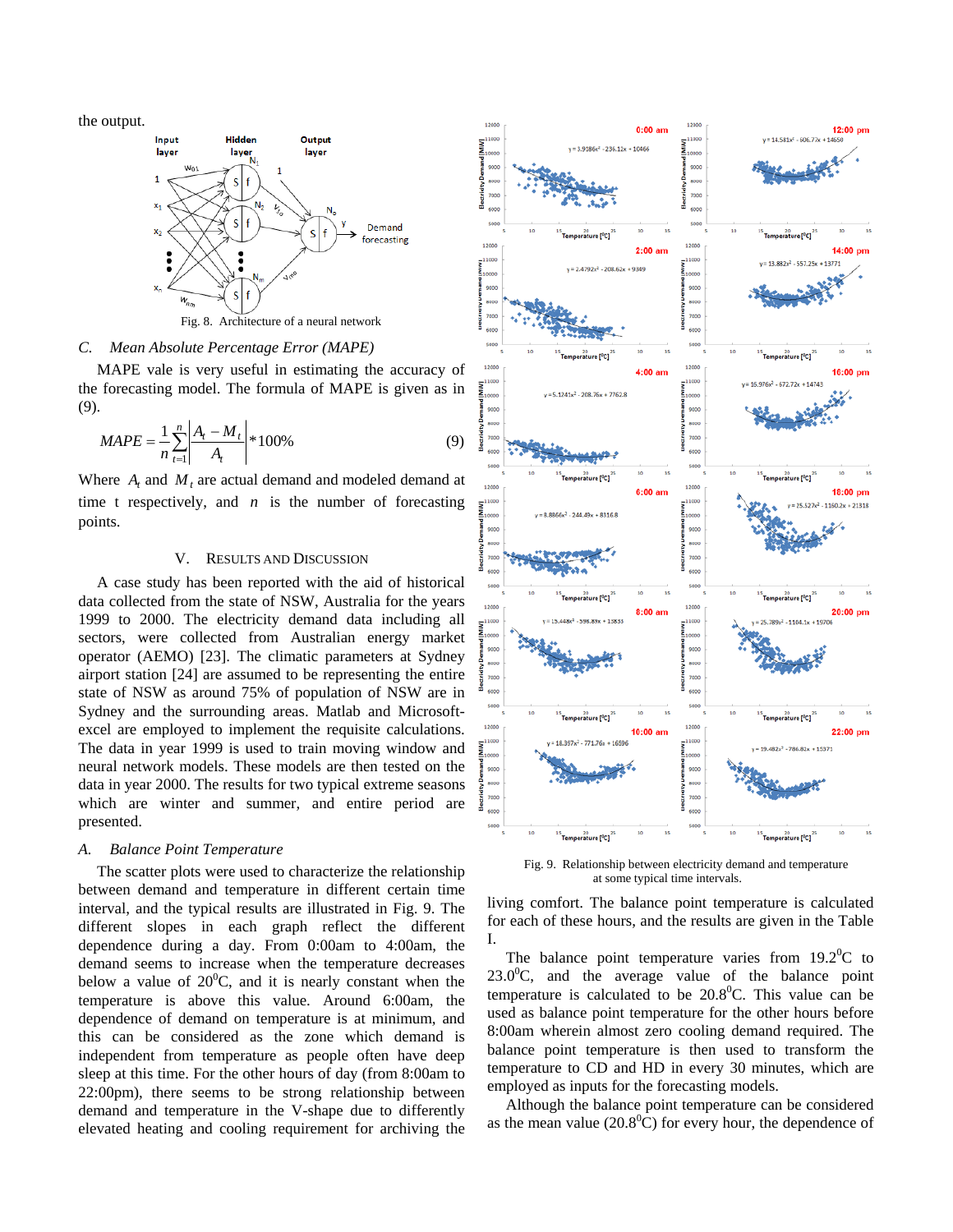the output.



## *C. Mean Absolute Percentage Error (MAPE)*

MAPE vale is very useful in estimating the accuracy of the forecasting model. The formula of MAPE is given as in (9).

$$
MAPE = \frac{1}{n} \sum_{t=1}^{n} \left| \frac{A_t - M_t}{A_t} \right| * 100\%
$$
\n(9)

Where  $A_t$  and  $M_t$  are actual demand and modeled demand at time t respectively, and  $n$  is the number of forecasting points.

#### V. RESULTS AND DISCUSSION

A case study has been reported with the aid of historical data collected from the state of NSW, Australia for the years 1999 to 2000. The electricity demand data including all sectors, were collected from Australian energy market operator (AEMO) [23]. The climatic parameters at Sydney airport station [24] are assumed to be representing the entire state of NSW as around 75% of population of NSW are in Sydney and the surrounding areas. Matlab and Microsoftexcel are employed to implement the requisite calculations. The data in year 1999 is used to train moving window and neural network models. These models are then tested on the data in year 2000. The results for two typical extreme seasons which are winter and summer, and entire period are presented.

### *A. Balance Point Temperature*

The scatter plots were used to characterize the relationship between demand and temperature in different certain time interval, and the typical results are illustrated in Fig. 9. The different slopes in each graph reflect the different dependence during a day. From 0:00am to 4:00am, the demand seems to increase when the temperature decreases below a value of  $20^0$ C, and it is nearly constant when the temperature is above this value. Around 6:00am, the dependence of demand on temperature is at minimum, and this can be considered as the zone which demand is independent from temperature as people often have deep sleep at this time. For the other hours of day (from 8:00am to 22:00pm), there seems to be strong relationship between demand and temperature in the V-shape due to differently elevated heating and cooling requirement for archiving the



Fig. 9. Relationship between electricity demand and temperature at some typical time intervals.

living comfort. The balance point temperature is calculated for each of these hours, and the results are given in the Table I.

The balance point temperature varies from  $19.2^{\circ}$ C to  $23.0^{\circ}$ C, and the average value of the balance point temperature is calculated to be  $20.8^{\circ}$ C. This value can be used as balance point temperature for the other hours before 8:00am wherein almost zero cooling demand required. The balance point temperature is then used to transform the temperature to CD and HD in every 30 minutes, which are employed as inputs for the forecasting models.

Although the balance point temperature can be considered as the mean value  $(20.8^{\circ}\text{C})$  for every hour, the dependence of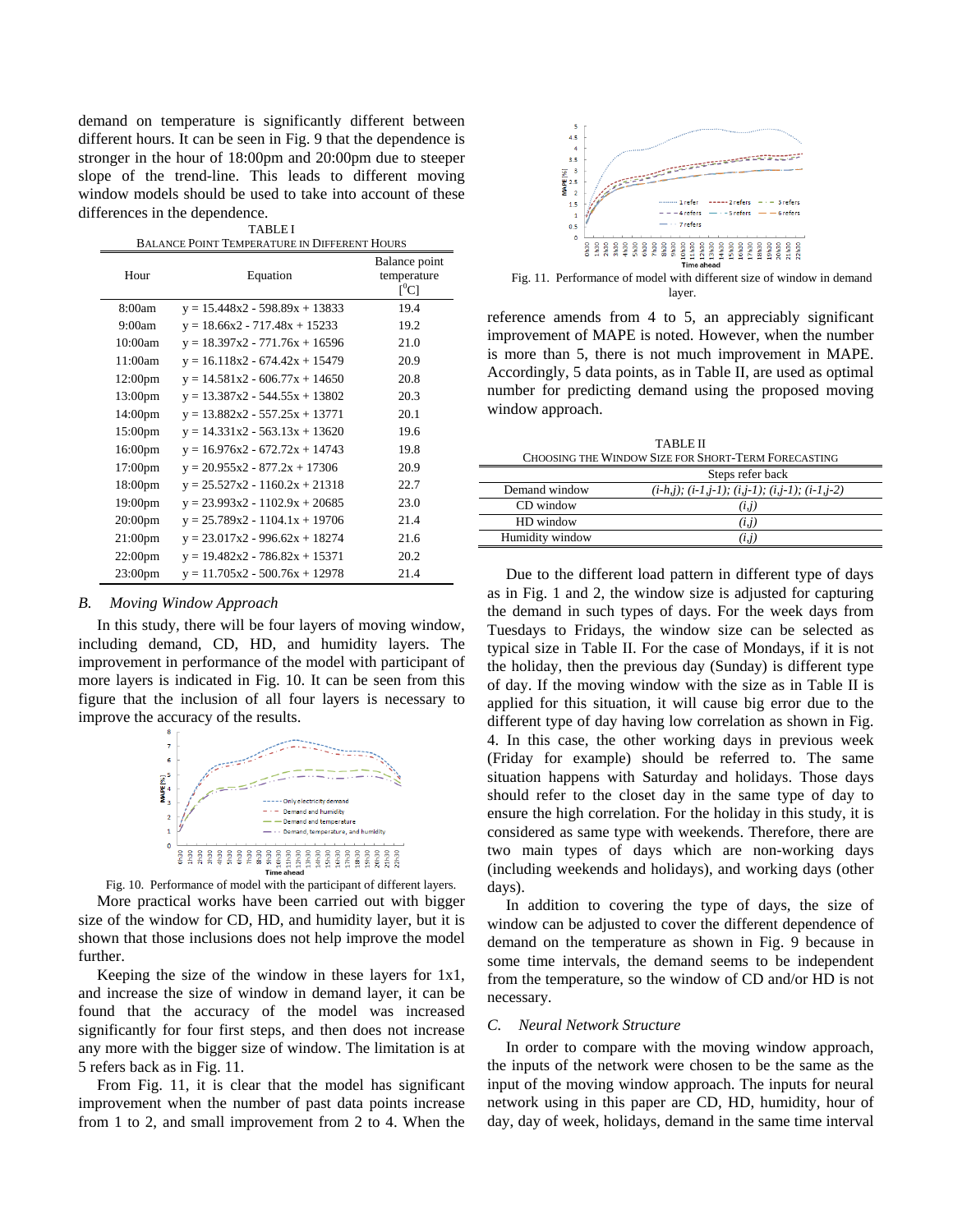demand on temperature is significantly different between different hours. It can be seen in Fig. 9 that the dependence is stronger in the hour of 18:00pm and 20:00pm due to steeper slope of the trend-line. This leads to different moving window models should be used to take into account of these differences in the dependence.

TABLE I

|                     | <b>BALANCE POINT TEMPERATURE IN DIFFERENT HOURS</b> |                                             |
|---------------------|-----------------------------------------------------|---------------------------------------------|
| Hour                | Equation                                            | Balance point<br>temperature<br>$[{}^{0}C]$ |
| 8:00am              | $y = 15.448x2 - 598.89x + 13833$                    | 19.4                                        |
| 9:00am              | $y = 18.66x2 - 717.48x + 15233$                     | 19.2                                        |
| 10:00am             | $y = 18.397x2 - 771.76x + 16596$                    | 21.0                                        |
| 11:00am             | $y = 16.118x2 - 674.42x + 15479$                    | 20.9                                        |
| 12:00 <sub>pm</sub> | $y = 14.581x2 - 606.77x + 14650$                    | 20.8                                        |
| 13:00 <sub>pm</sub> | $y = 13.387x2 - 544.55x + 13802$                    | 20.3                                        |
| 14:00pm             | $y = 13.882x2 - 557.25x + 13771$                    | 20.1                                        |
| 15:00pm             | $y = 14.331x2 - 563.13x + 13620$                    | 19.6                                        |
| 16:00pm             | $y = 16.976x2 - 672.72x + 14743$                    | 19.8                                        |
| 17:00 <sub>pm</sub> | $y = 20.955x2 - 877.2x + 17306$                     | 20.9                                        |
| 18:00pm             | $y = 25.527x2 - 1160.2x + 21318$                    | 22.7                                        |
| 19:00pm             | $y = 23.993x2 - 1102.9x + 20685$                    | 23.0                                        |
| $20:00$ pm          | $y = 25.789x2 - 1104.1x + 19706$                    | 21.4                                        |
| 21:00 <sub>pm</sub> | $y = 23.017x2 - 996.62x + 18274$                    | 21.6                                        |
| 22:00 <sub>pm</sub> | $y = 19.482x2 - 786.82x + 15371$                    | 20.2                                        |
| 23:00 <sub>pm</sub> | $y = 11.705x2 - 500.76x + 12978$                    | 21.4                                        |

#### *B. Moving Window Approach*

In this study, there will be four layers of moving window, including demand, CD, HD, and humidity layers. The improvement in performance of the model with participant of more layers is indicated in Fig. 10. It can be seen from this figure that the inclusion of all four layers is necessary to improve the accuracy of the results.



Fig. 10. Performance of model with the participant of different layers.

More practical works have been carried out with bigger size of the window for CD, HD, and humidity layer, but it is shown that those inclusions does not help improve the model further.

Keeping the size of the window in these layers for 1x1, and increase the size of window in demand layer, it can be found that the accuracy of the model was increased significantly for four first steps, and then does not increase any more with the bigger size of window. The limitation is at 5 refers back as in Fig. 11.

From Fig. 11, it is clear that the model has significant improvement when the number of past data points increase from 1 to 2, and small improvement from 2 to 4. When the



Fig. 11. Performance of model with different size of window in demand layer.

reference amends from 4 to 5, an appreciably significant improvement of MAPE is noted. However, when the number is more than 5, there is not much improvement in MAPE. Accordingly, 5 data points, as in Table II, are used as optimal number for predicting demand using the proposed moving window approach.

TABLE II CHOOSING THE WINDOW SIZE FOR SHORT-TERM FORECASTING

|                 | Steps refer back                                          |
|-----------------|-----------------------------------------------------------|
| Demand window   | $(i-h,j);$ $(i-1,j-1);$ $(i,j-1);$ $(i,j-1);$ $(i-1,j-2)$ |
| CD window       | (i,j)                                                     |
| HD window       | (i,j)                                                     |
| Humidity window | (i, j)                                                    |
|                 |                                                           |

Due to the different load pattern in different type of days as in Fig. 1 and 2, the window size is adjusted for capturing the demand in such types of days. For the week days from Tuesdays to Fridays, the window size can be selected as typical size in Table II. For the case of Mondays, if it is not the holiday, then the previous day (Sunday) is different type of day. If the moving window with the size as in Table II is applied for this situation, it will cause big error due to the different type of day having low correlation as shown in Fig. 4. In this case, the other working days in previous week (Friday for example) should be referred to. The same situation happens with Saturday and holidays. Those days should refer to the closet day in the same type of day to ensure the high correlation. For the holiday in this study, it is considered as same type with weekends. Therefore, there are two main types of days which are non-working days (including weekends and holidays), and working days (other days).

In addition to covering the type of days, the size of window can be adjusted to cover the different dependence of demand on the temperature as shown in Fig. 9 because in some time intervals, the demand seems to be independent from the temperature, so the window of CD and/or HD is not necessary.

#### *C. Neural Network Structure*

In order to compare with the moving window approach, the inputs of the network were chosen to be the same as the input of the moving window approach. The inputs for neural network using in this paper are CD, HD, humidity, hour of day, day of week, holidays, demand in the same time interval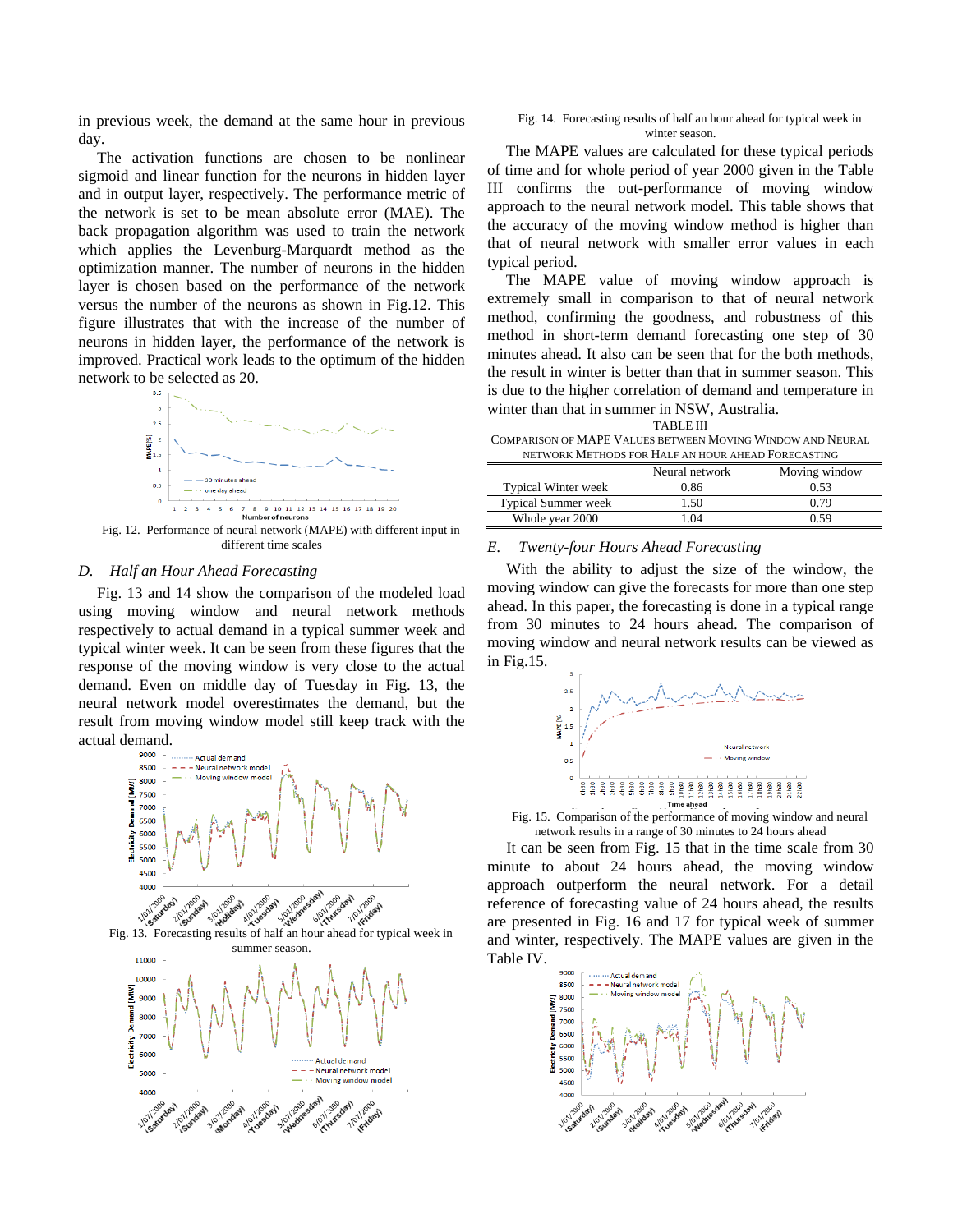in previous week, the demand at the same hour in previous day.

The activation functions are chosen to be nonlinear sigmoid and linear function for the neurons in hidden layer and in output layer, respectively. The performance metric of the network is set to be mean absolute error (MAE). The back propagation algorithm was used to train the network which applies the Levenburg-Marquardt method as the optimization manner. The number of neurons in the hidden layer is chosen based on the performance of the network versus the number of the neurons as shown in Fig.12. This figure illustrates that with the increase of the number of neurons in hidden layer, the performance of the network is improved. Practical work leads to the optimum of the hidden network to be selected as 20.



different time scales

## *D. Half an Hour Ahead Forecasting*

Fig. 13 and 14 show the comparison of the modeled load using moving window and neural network methods respectively to actual demand in a typical summer week and typical winter week. It can be seen from these figures that the response of the moving window is very close to the actual demand. Even on middle day of Tuesday in Fig. 13, the neural network model overestimates the demand, but the result from moving window model still keep track with the actual demand.



#### Fig. 14. Forecasting results of half an hour ahead for typical week in winter season.

The MAPE values are calculated for these typical periods of time and for whole period of year 2000 given in the Table III confirms the out-performance of moving window approach to the neural network model. This table shows that the accuracy of the moving window method is higher than that of neural network with smaller error values in each typical period.

The MAPE value of moving window approach is extremely small in comparison to that of neural network method, confirming the goodness, and robustness of this method in short-term demand forecasting one step of 30 minutes ahead. It also can be seen that for the both methods, the result in winter is better than that in summer season. This is due to the higher correlation of demand and temperature in winter than that in summer in NSW, Australia.

#### TABLE III

COMPARISON OF MAPE VALUES BETWEEN MOVING WINDOW AND NEURAL NETWORK METHODS FOR HALF AN HOUR AHEAD FORECASTING

|                            | Neural network | Moving window |
|----------------------------|----------------|---------------|
| <b>Typical Winter week</b> | 0.86           | 0.53          |
| <b>Typical Summer week</b> | .50            | 0.79          |
| Whole year 2000            | -04            | ) 59          |

### *E. Twenty-four Hours Ahead Forecasting*

With the ability to adjust the size of the window, the moving window can give the forecasts for more than one step ahead. In this paper, the forecasting is done in a typical range from 30 minutes to 24 hours ahead. The comparison of moving window and neural network results can be viewed as in Fig.15.



network results in a range of 30 minutes to 24 hours ahead

It can be seen from Fig. 15 that in the time scale from 30 minute to about 24 hours ahead, the moving window approach outperform the neural network. For a detail reference of forecasting value of 24 hours ahead, the results are presented in Fig. 16 and 17 for typical week of summer and winter, respectively. The MAPE values are given in the Table IV.